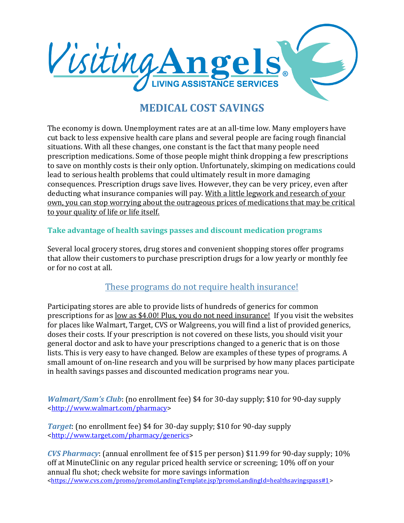

# **MEDICAL COST SAVINGS**

The economy is down. Unemployment rates are at an all-time low. Many employers have cut back to less expensive health care plans and several people are facing rough financial situations. With all these changes, one constant is the fact that many people need prescription medications. Some of those people might think dropping a few prescriptions to save on monthly costs is their only option. Unfortunately, skimping on medications could lead to serious health problems that could ultimately result in more damaging consequences. Prescription drugs save lives. However, they can be very pricey, even after deducting what insurance companies will pay. With a little legwork and research of your own, you can stop worrying about the outrageous prices of medications that may be critical to your quality of life or life itself.

## **Take advantage of health savings passes and discount medication programs**

Several local grocery stores, drug stores and convenient shopping stores offer programs that allow their customers to purchase prescription drugs for a low yearly or monthly fee or for no cost at all.

## These programs do not require health insurance!

Participating stores are able to provide lists of hundreds of generics for common prescriptions for as <u>low as \$4.00! Plus, you do not need insurance!</u> If you visit the websites for places like Walmart, Target, CVS or Walgreens, you will find a list of provided generics, doses their costs. If your prescription is not covered on these lists, you should visit your general doctor and ask to have your prescriptions changed to a generic that is on those lists. This is very easy to have changed. Below are examples of these types of programs. A small amount of on-line research and you will be surprised by how many places participate in health savings passes and discounted medication programs near you.

*Walmart/Sam's Club*: (no enrollment fee) \$4 for 30-day supply; \$10 for 90-day supply [<http://www.walmart.com/pharmacy>](http://www.walmart.com/pharmacy)

*Target*: (no enrollment fee) \$4 for 30-day supply; \$10 for 90-day supply [<http://www.target.com/pharmacy/generics>](http://www.target.com/pharmacy/generics)

*CVS Pharmacy*: (annual enrollment fee of \$15 per person) \$11.99 for 90-day supply; 10% off at MinuteClinic on any regular priced health service or screening; 10% off on your annual flu shot; check website for more savings information [<https://www.cvs.com/promo/promoLandingTemplate.jsp?promoLandingId=healthsavingspass#1>](https://www.cvs.com/promo/promoLandingTemplate.jsp?promoLandingId=healthsavingspass%231)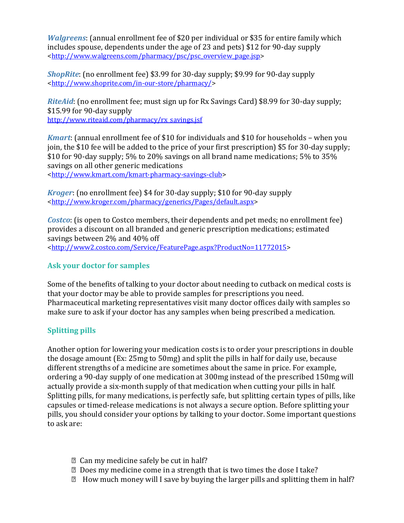*Walgreens*: (annual enrollment fee of \$20 per individual or \$35 for entire family which includes spouse, dependents under the age of 23 and pets) \$12 for 90-day supply [<http://www.walgreens.com/pharmacy/psc/psc\\_overview\\_page.jsp>](http://www.walgreens.com/pharmacy/psc/psc_overview_page.jsp)

*ShopRite*: (no enrollment fee) \$3.99 for 30-day supply; \$9.99 for 90-day supply [<http://www.shoprite.com/in-our-store/pharmacy/>](http://www.shoprite.com/in-our-store/pharmacy/)

*RiteAid*: (no enrollment fee; must sign up for Rx Savings Card) \$8.99 for 30-day supply; \$15.99 for 90-day supply [http://www.riteaid.com/pharmacy/rx\\_savings.jsf](http://www.riteaid.com/pharmacy/rx_savings.jsf)

*Kmart*: (annual enrollment fee of \$10 for individuals and \$10 for households – when you join, the \$10 fee will be added to the price of your first prescription) \$5 for 30-day supply; \$10 for 90-day supply; 5% to 20% savings on all brand name medications; 5% to 35% savings on all other generic medications [<http://www.kmart.com/kmart-pharmacy-savings-club>](http://www.kmart.com/kmart-pharmacy-savings-club)

*Kroger*: (no enrollment fee) \$4 for 30-day supply; \$10 for 90-day supply [<http://www.kroger.com/pharmacy/generics/Pages/default.aspx>](http://www.kroger.com/pharmacy/generics/Pages/default.aspx)

*Costco*: (is open to Costco members, their dependents and pet meds; no enrollment fee) provides a discount on all branded and generic prescription medications; estimated savings between 2% and 40% off [<http://www2.costco.com/Service/FeaturePage.aspx?ProductNo=11772015>](http://www2.costco.com/Service/FeaturePage.aspx?ProductNo=11772015)

## **Ask your doctor for samples**

Some of the benefits of talking to your doctor about needing to cutback on medical costs is that your doctor may be able to provide samples for prescriptions you need. Pharmaceutical marketing representatives visit many doctor offices daily with samples so make sure to ask if your doctor has any samples when being prescribed a medication.

# **Splitting pills**

Another option for lowering your medication costs is to order your prescriptions in double the dosage amount (Ex: 25mg to 50mg) and split the pills in half for daily use, because different strengths of a medicine are sometimes about the same in price. For example, ordering a 90-day supply of one medication at 300mg instead of the prescribed 150mg will actually provide a six-month supply of that medication when cutting your pills in half. Splitting pills, for many medications, is perfectly safe, but splitting certain types of pills, like capsules or timed-release medications is not always a secure option. Before splitting your pills, you should consider your options by talking to your doctor. Some important questions to ask are:

- Can my medicine safely be cut in half?
- Does my medicine come in a strength that is two times the dose I take?
- $\mathbb D$  How much money will I save by buying the larger pills and splitting them in half?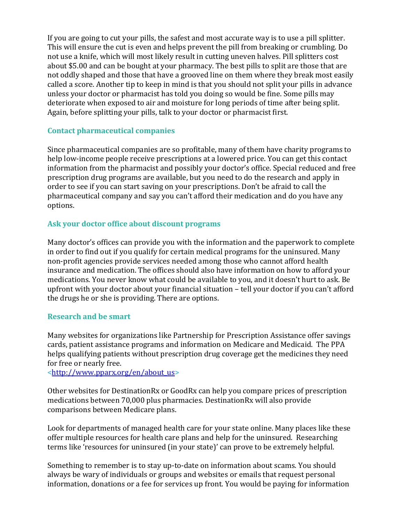If you are going to cut your pills, the safest and most accurate way is to use a pill splitter. This will ensure the cut is even and helps prevent the pill from breaking or crumbling. Do not use a knife, which will most likely result in cutting uneven halves. Pill splitters cost about \$5.00 and can be bought at your pharmacy. The best pills to split are those that are not oddly shaped and those that have a grooved line on them where they break most easily called a score. Another tip to keep in mind is that you should not split your pills in advance unless your doctor or pharmacist has told you doing so would be fine. Some pills may deteriorate when exposed to air and moisture for long periods of time after being split. Again, before splitting your pills, talk to your doctor or pharmacist first.

### **Contact pharmaceutical companies**

Since pharmaceutical companies are so profitable, many of them have charity programs to help low-income people receive prescriptions at a lowered price. You can get this contact information from the pharmacist and possibly your doctor's office. Special reduced and free prescription drug programs are available, but you need to do the research and apply in order to see if you can start saving on your prescriptions. Don't be afraid to call the pharmaceutical company and say you can't afford their medication and do you have any options.

## **Ask your doctor office about discount programs**

Many doctor's offices can provide you with the information and the paperwork to complete in order to find out if you qualify for certain medical programs for the uninsured. Many non-profit agencies provide services needed among those who cannot afford health insurance and medication. The offices should also have information on how to afford your medications. You never know what could be available to you, and it doesn't hurt to ask. Be upfront with your doctor about your financial situation – tell your doctor if you can't afford the drugs he or she is providing. There are options.

### **Research and be smart**

Many websites for organizations like Partnership for Prescription Assistance offer savings cards, patient assistance programs and information on Medicare and Medicaid. The PPA helps qualifying patients without prescription drug coverage get the medicines they need for free or nearly free.

[<http://www.pparx.org/en/about\\_us>](http://www.pparx.org/en/about_us)

Other websites for DestinationRx or GoodRx can help you compare prices of prescription medications between 70,000 plus pharmacies. DestinationRx will also provide comparisons between Medicare plans.

Look for departments of managed health care for your state online. Many places like these offer multiple resources for health care plans and help for the uninsured. Researching terms like 'resources for uninsured (in your state)' can prove to be extremely helpful.

Something to remember is to stay up-to-date on information about scams. You should always be wary of individuals or groups and websites or emails that request personal information, donations or a fee for services up front. You would be paying for information